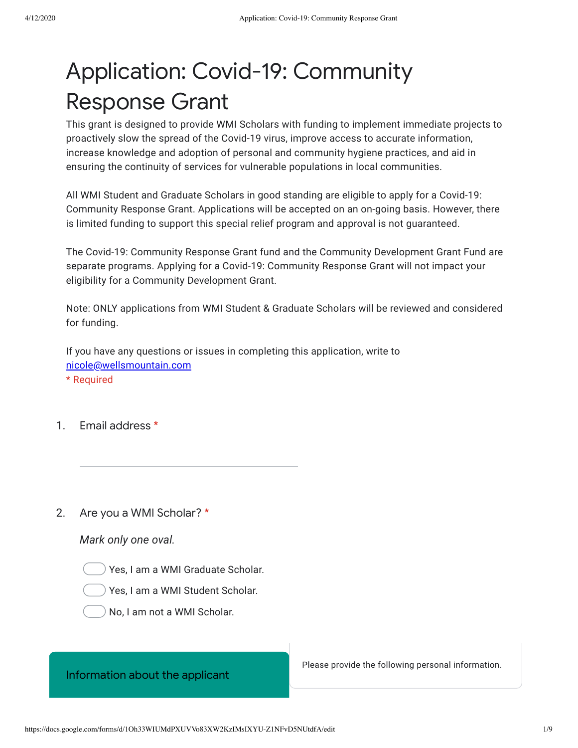# Application: Covid-19: Community Response Grant

This grant is designed to provide WMI Scholars with funding to implement immediate projects to proactively slow the spread of the Covid-19 virus, improve access to accurate information, increase knowledge and adoption of personal and community hygiene practices, and aid in ensuring the continuity of services for vulnerable populations in local communities.

All WMI Student and Graduate Scholars in good standing are eligible to apply for a Covid-19: Community Response Grant. Applications will be accepted on an on-going basis. However, there is limited funding to support this special relief program and approval is not guaranteed.

The Covid-19: Community Response Grant fund and the Community Development Grant Fund are separate programs. Applying for a Covid-19: Community Response Grant will not impact your eligibility for a Community Development Grant.

Note: ONLY applications from WMI Student & Graduate Scholars will be reviewed and considered for funding.

If you have any questions or issues in completing this application, write to [nicole@wellsmountain.com](mailto:nicole@wellsmountain.com) \* Required

1. Email address \*

2. Are you a WMI Scholar? \*

## *Mark only one oval.*

Yes, I am a WMI Graduate Scholar.

Yes, I am a WMI Student Scholar.



# Information about the applicant

Please provide the following personal information.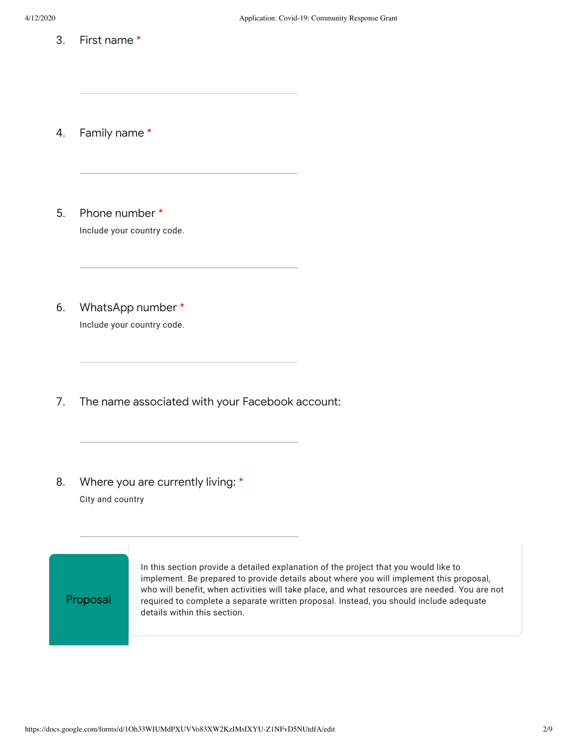3. First name \*

4. Family name \*

- 5. Phone number \* Include your country code.
- 6. WhatsApp number \* Include your country code.
- 7. The name associated with your Facebook account:
- 8. Where you are currently living: \* City and country

Proposal

In this section provide a detailed explanation of the project that you would like to implement. Be prepared to provide details about where you will implement this proposal, who will benefit, when activities will take place, and what resources are needed. You are not required to complete a separate written proposal. Instead, you should include adequate details within this section.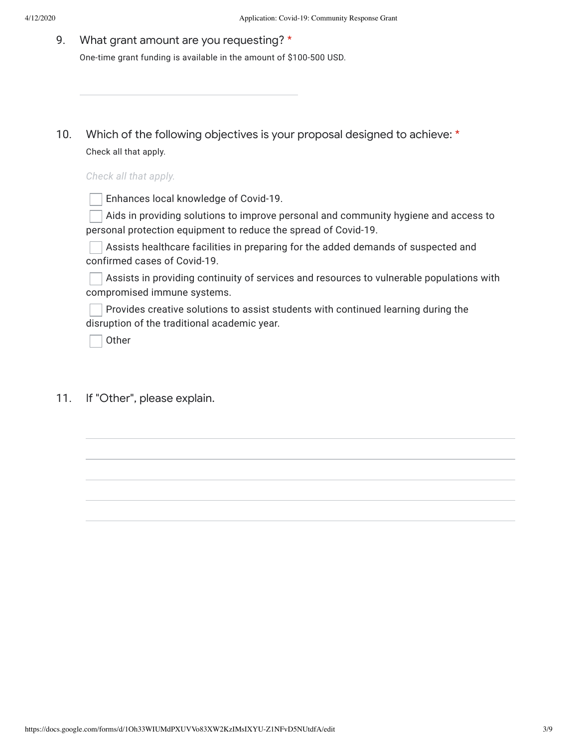#### 9. What grant amount are you requesting? \*

One-time grant funding is available in the amount of \$100-500 USD.

10. Which of the following objectives is your proposal designed to achieve: \* Check all that apply.

## *Check all that apply.*

Enhances local knowledge of Covid-19.

Aids in providing solutions to improve personal and community hygiene and access to personal protection equipment to reduce the spread of Covid-19.

Assists healthcare facilities in preparing for the added demands of suspected and confirmed cases of Covid-19.

Assists in providing continuity of services and resources to vulnerable populations with compromised immune systems.

Provides creative solutions to assist students with continued learning during the disruption of the traditional academic year.

Other

11. If "Other", please explain.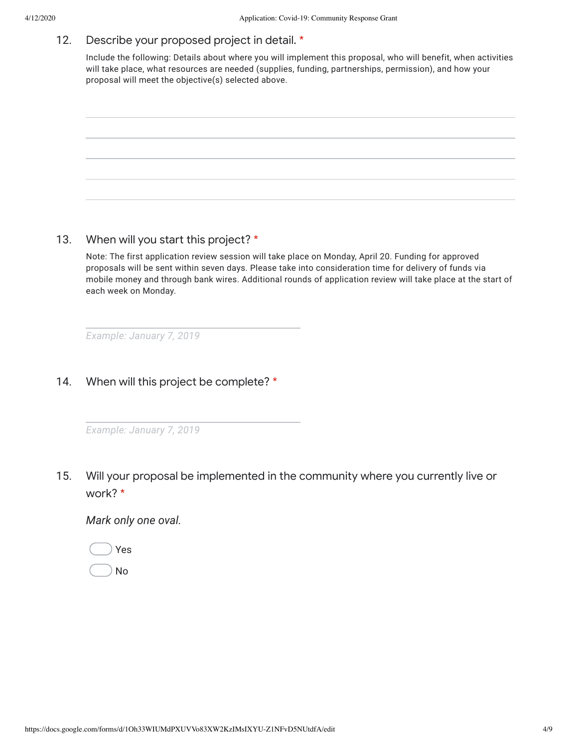#### 12. Describe your proposed project in detail. \*

Include the following: Details about where you will implement this proposal, who will benefit, when activities will take place, what resources are needed (supplies, funding, partnerships, permission), and how your proposal will meet the objective(s) selected above.



13. When will you start this project? \*

Note: The first application review session will take place on Monday, April 20. Funding for approved proposals will be sent within seven days. Please take into consideration time for delivery of funds via mobile money and through bank wires. Additional rounds of application review will take place at the start of each week on Monday.

*Example: January 7, 2019*

14. When will this project be complete? \*

|  | Example: January 7, 2019 |  |
|--|--------------------------|--|
|--|--------------------------|--|

15. Will your proposal be implemented in the community where you currently live or work? \*

*Mark only one oval.*



No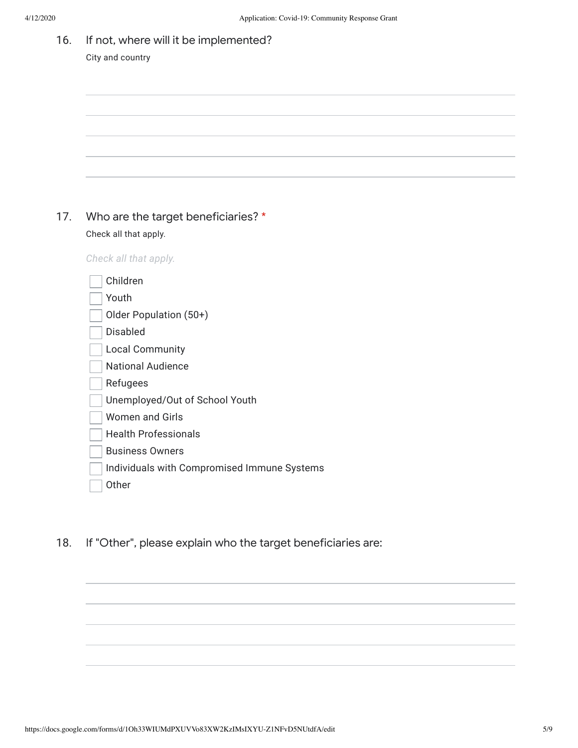16. If not, where will it be implemented? City and country

## 17. Who are the target beneficiaries? \* Check all that apply.

*Check all that apply.*

| Children                                    |
|---------------------------------------------|
| Youth                                       |
| Older Population (50+)                      |
| Disabled                                    |
| Local Community                             |
| National Audience                           |
| Refugees                                    |
| Unemployed/Out of School Youth              |
| Women and Girls                             |
| Health Professionals                        |
| <b>Business Owners</b>                      |
| Individuals with Compromised Immune Systems |
| Other                                       |
|                                             |

18. If "Other", please explain who the target beneficiaries are: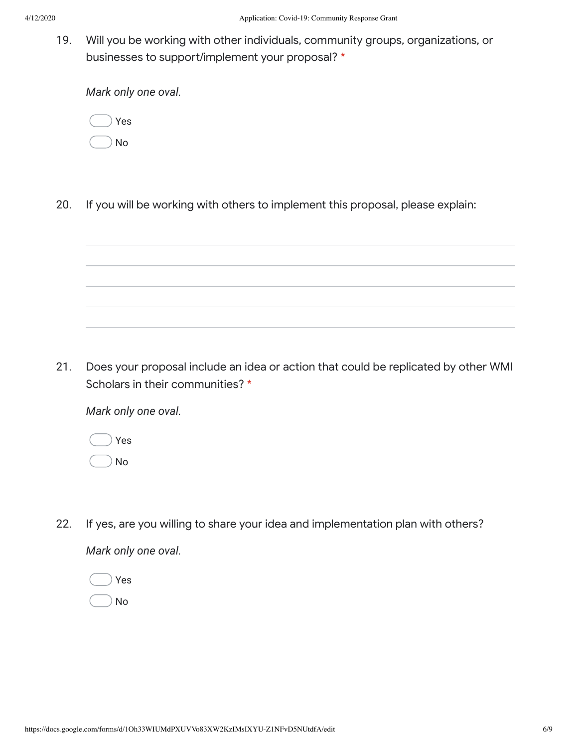19. Will you be working with other individuals, community groups, organizations, or businesses to support/implement your proposal? \*

*Mark only one oval.*

|  | Yes |
|--|-----|
|  | No  |

20. If you will be working with others to implement this proposal, please explain:



*Mark only one oval.*

Yes

No

22. If yes, are you willing to share your idea and implementation plan with others?

*Mark only one oval.*

Yes No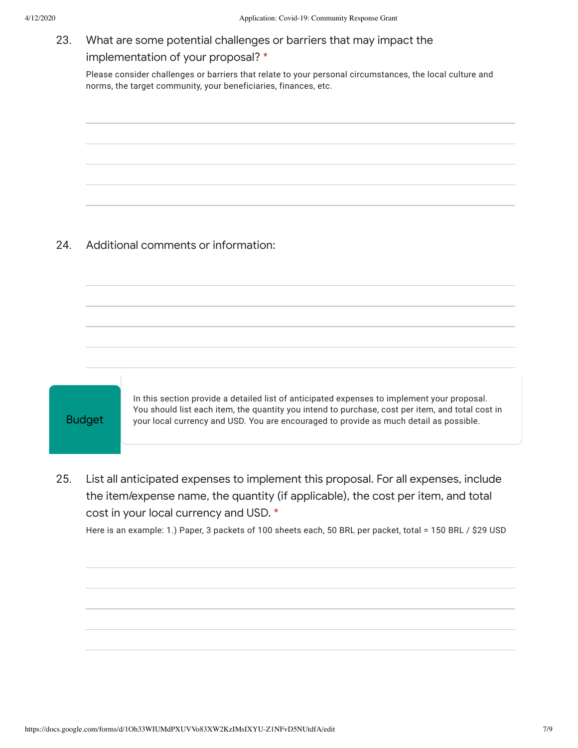## 23. What are some potential challenges or barriers that may impact the implementation of your proposal? \*

Please consider challenges or barriers that relate to your personal circumstances, the local culture and norms, the target community, your beneficiaries, finances, etc.

#### 24. Additional comments or information:



In this section provide a detailed list of anticipated expenses to implement your proposal. You should list each item, the quantity you intend to purchase, cost per item, and total cost in your local currency and USD. You are encouraged to provide as much detail as possible.

25. List all anticipated expenses to implement this proposal. For all expenses, include the item/expense name, the quantity (if applicable), the cost per item, and total cost in your local currency and USD. \*

Here is an example: 1.) Paper, 3 packets of 100 sheets each, 50 BRL per packet, total = 150 BRL / \$29 USD